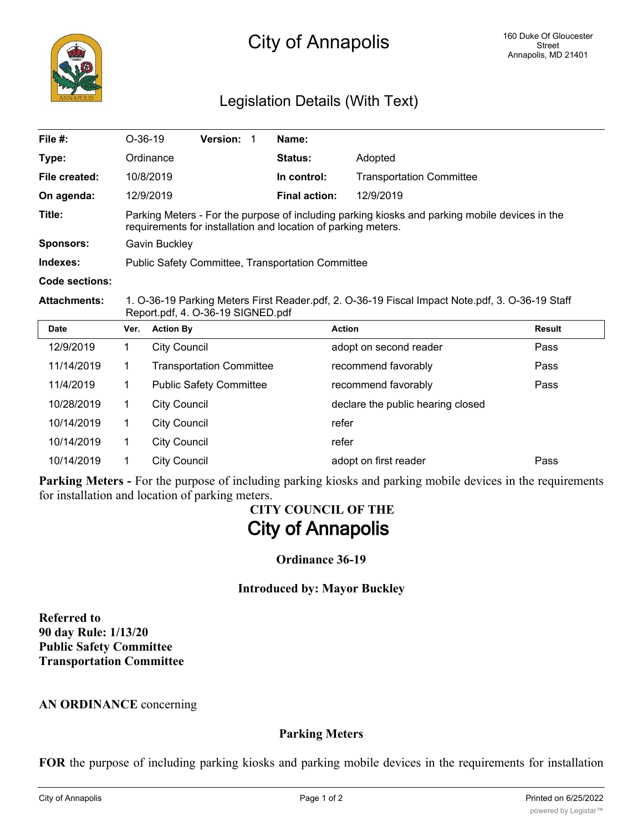

## Legislation Details (With Text)

| File $#$ :     | $O-36-19$                                                                                                                                                                                                                                                                                                                                                                                  | <b>Version:</b> |  | Name:                |                                 |  |
|----------------|--------------------------------------------------------------------------------------------------------------------------------------------------------------------------------------------------------------------------------------------------------------------------------------------------------------------------------------------------------------------------------------------|-----------------|--|----------------------|---------------------------------|--|
| Type:          | Ordinance                                                                                                                                                                                                                                                                                                                                                                                  |                 |  | Status:              | Adopted                         |  |
| File created:  | 10/8/2019                                                                                                                                                                                                                                                                                                                                                                                  |                 |  | In control:          | <b>Transportation Committee</b> |  |
| On agenda:     | 12/9/2019                                                                                                                                                                                                                                                                                                                                                                                  |                 |  | <b>Final action:</b> | 12/9/2019                       |  |
| Title:         | Parking Meters - For the purpose of including parking kiosks and parking mobile devices in the<br>requirements for installation and location of parking meters.                                                                                                                                                                                                                            |                 |  |                      |                                 |  |
| Sponsors:      | Gavin Buckley                                                                                                                                                                                                                                                                                                                                                                              |                 |  |                      |                                 |  |
| Indexes:       | <b>Public Safety Committee, Transportation Committee</b>                                                                                                                                                                                                                                                                                                                                   |                 |  |                      |                                 |  |
| Code sections: |                                                                                                                                                                                                                                                                                                                                                                                            |                 |  |                      |                                 |  |
|                | $\overline{1}$ $\overline{0}$ $\overline{0}$ $\overline{10}$ $\overline{11}$ $\overline{11}$ $\overline{11}$ $\overline{12}$ $\overline{13}$ $\overline{11}$ $\overline{13}$ $\overline{14}$ $\overline{15}$ $\overline{11}$ $\overline{13}$ $\overline{14}$ $\overline{15}$ $\overline{13}$ $\overline{14}$ $\overline{15}$ $\overline{16}$ $\overline{18}$ $\overline$<br>$\blacksquare$ |                 |  |                      |                                 |  |

**Attachments:** 1. O-36-19 Parking Meters First Reader.pdf, 2. O-36-19 Fiscal Impact Note.pdf, 3. O-36-19 Staff Report.pdf, 4. O-36-19 SIGNED.pdf

| <b>Date</b> | Ver. | <b>Action By</b>                | <b>Action</b>                     | Result |
|-------------|------|---------------------------------|-----------------------------------|--------|
| 12/9/2019   |      | <b>City Council</b>             | adopt on second reader            | Pass   |
| 11/14/2019  |      | <b>Transportation Committee</b> | recommend favorably               | Pass   |
| 11/4/2019   |      | <b>Public Safety Committee</b>  | recommend favorably               | Pass   |
| 10/28/2019  |      | <b>City Council</b>             | declare the public hearing closed |        |
| 10/14/2019  |      | <b>City Council</b>             | refer                             |        |
| 10/14/2019  |      | <b>City Council</b>             | refer                             |        |
| 10/14/2019  |      | <b>City Council</b>             | adopt on first reader             | Pass   |

**Parking Meters -** For the purpose of including parking kiosks and parking mobile devices in the requirements for installation and location of parking meters.

# **CITY COUNCIL OF THE City of Annapolis**

**Ordinance 36-19**

## **Introduced by: Mayor Buckley**

**Referred to 90 day Rule: 1/13/20 Public Safety Committee Transportation Committee**

**AN ORDINANCE** concerning

## **Parking Meters**

**FOR** the purpose of including parking kiosks and parking mobile devices in the requirements for installation